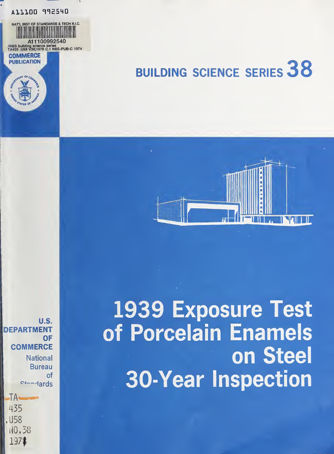**AlllOO 992540** 





# BUILDING SCIENCE SERIES 38



# 1939 Exposure Test of Porcelain Enamels on Steel 30-Year Inspection

U.S. **DEPARTMENT** OF **COMMERCE National Bureau of** <sup>c+</sup>ndards TA. 435

**U58** NO.38 1978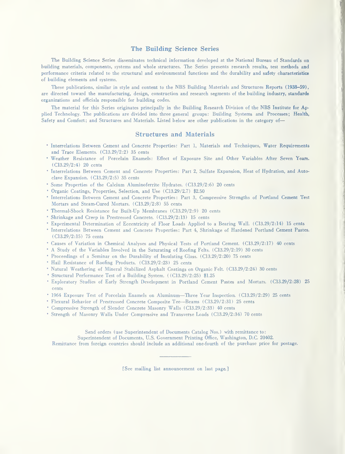#### The Building Science Series

The Building Science Series disseminates technical information developed at the National Bureau of Standards on building materials, components, systems and whole structures. The Series presents research results, test methods and performance criteria related to the structural and environmental functions and the durability and safety characteristics of building elements and systems.

These publications, similar in style and content to the NBS Building Materials and Structures Reports (1938—59), are directed toward the manufacturing, design, construction and research segments of the building industry, standards organizations and officials responsible for building codes.

The material for this Series originates principally in the Building Research Division of the NBS Institute for Applied Technology. The publications are divided into three general groups: Building Systems and Processes; Health, Safety and Comfort; and Structures and Materials. Listed below are other publications in the category of-

#### Structures and Materials

- Interrelations Between Cement and Concrete Properties: Part 1, Materials and Techniques, Water Requirements and Trace Elements. (C13.29/2:2) 35 cents
- Weather Resistance of Porcelain Enamels: Effect of Exposure Site and Other Variables After Seven Years. (C13.29/2:4) 20 cents
- Interrelations Between Cement and Concrete Properties: Part 2, Sulfate Expansion, Heat of Hydration, and Autoclave Expansion. (C13.29/2:5) 35 cents
- Some Properties of the Calcium Aluminoferrite Hydrates. (C13.29/2:6) 20 cents
- Organic Coatings, Properties, Selection, and Use (C13.29/2.7) \$2.50
- Interrelations Between Cement and Concrete Properties : Part 3, Compressive Strengths of Portland Cement Test Mortars and Steam-Cured Mortars. (C13.29/2:8) 55 cents
- Thermal-Shock Resistance for Built-Up Membranes (C13.29/2:9) 20 cents
- Shrinkage and Creep in Prestressed Concrete. (C13.29/2:13) 15 cents
- Experimental Determination of Eccentricity of Floor Loads Applied to a Bearing Wall. (C13.29/2:14) 15 cents
- Interrelations Between Cement and Concrete Properties: Part 4, Shrinkage of Hardened Portland Cement Pastes. (C13.29/2:15) 75 cents
- Causes of Variation in Chemical Analyses and Physical Tests of Portland Cement. (C13.29/2:17) 40 cents
- A Study of the Variables Involved in the Saturating of Roofing Felts. (C13.29/2:19) 30 cents
- Proceedings of a Seminar on the Durability of Insulating Glass. (C13.29/2:20) 75 cents
- Hail Resistance of Roofing Products. (C13.29/2:23) 25 cents
- Natural Weathering of Mineral Stabilized Asphalt Coatings on Organic Felt. (C13.29/2:24) 30 cents
- Structural Performance Test of a Building System. ( (C13.29/2:25) \$1.25
- Exploratory Studies of Early Strength Development in Portland Cement Pastes and Mortars. (C13.29/2:28) 25 cents
- <sup>1964</sup> Exposure Test of Porcelain Enamels on Aluminum—Three Year Inspection. (C13.29/2:29) <sup>25</sup> cents
- Flexural Behavior of Prestressed Concrete Composite Tee—Beams (C13.29/2:31) <sup>25</sup> cents
- Compressive Strength of Slender Concrete Masonry Walls (C13.29/2:33) 40 cents
- Strength of Masonry Walls Under Compressive and Transverse Loads (C13.29/2:34) 70 cents

Send orders (use Superintendent of Documents Catalog Nos.) with remittance to:

Superintendent of Documents, U.S. Government Printing Office, Washington, D.C. 20402.

Remittance from foreign countries should include an additional one-fourth of the purchase price for postage.

[See mailing list announcement on last page.]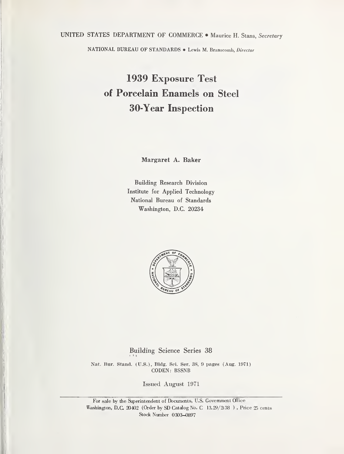## UNITED STATES DEPARTMENT OF COMMERCE . Maurice H. Stans, Secretary

NATIONAL BUREAU OF STANDARDS • Lewis M. Branscomb, Director

# 1939 Exposure Test of Porcelain Enamels on Steel 30-Year Inspection

Margaret A. Baker

Building Research Division Institute for Applied Technology National Bureau of Standards Washington, D.C. 20234



## Building Science Series 38

Nat. Bur. Stand. (U.S.), Bldg. Sci. Ser. 38, 9 pages (Aug. 1971) CODEN: BSSNB

Issued August 1971

For sale by the Superintendent of Documents, U.S. Government Office Washington, D.C. 20402 (Order by SD Catalog No. C  $13.29/238$ ), Price  $25$  cents Stock Number 0303-0897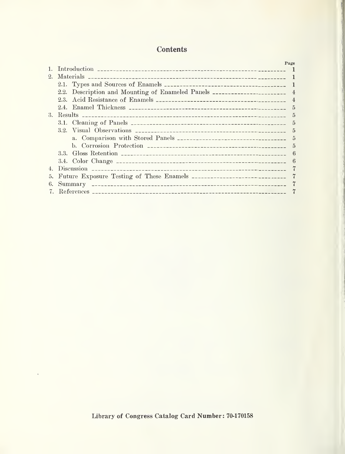# **Contents**

|    | Page |
|----|------|
|    |      |
|    |      |
|    |      |
|    |      |
|    |      |
| 3. |      |
|    | 5    |
|    |      |
|    |      |
|    |      |
|    |      |
|    |      |
|    |      |
| 5. |      |
| 6. |      |
|    |      |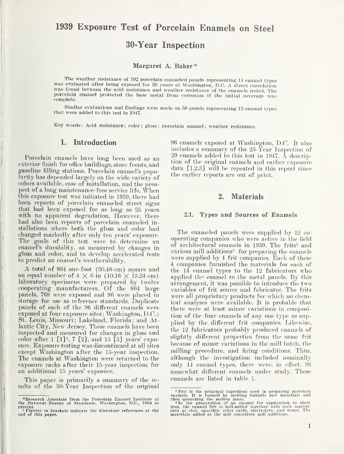# 30-Year Inspection

#### Margaret A. Baker\*

The weather resistance of 192 porcelain enameled panels representing 14 enamel types<br>was evaluated after being exposed for 30 years at Washington, D.C. A direct correlation<br>was found between the acid resistance and weather porcelain enamel protected the base metal from corrosion if the initial coverage was complete.

Similar evaluations and findings were made on 58 panels representing 13 enamel types that were added to this test in 1947.

Key words : Acid resistance ; color ; gloss ; porcelain enamel ; weather resistance.

### 1. Introduction

Porcelain enamels have long been used as an exterior finish for office buildings, store fronts, and gasoline filling stations. Porcelain enamel's popularity has depended largely on the wide variety of colors available, ease of installation, and the pros pect of <sup>a</sup> long maintenance-free service life. When this exposure test was initiated in 1939, there had been reports of porcelain enameled street signs that had been exposed for as long as 25 years with no apparent degradation. However, there had also been reports of porcelain enameled in stallations where both the gloss and color had changed markedly after only ten years' exposure. The goals of this test were to determine an enamel's durability, as measured by changes in gloss and color, and to develop accelerated tests to predict an enamel's weatherability.

A total of <sup>864</sup> one-foot (30.48-cm) square and an equal number of  $4 \times 6$ -in  $(10.16 \times 15.24$ -cm) laboratory specimens were prepared by twelve cooperating manufacturers. Of the 864 large panels, 768 were exposed and 96 were placed in storage for use as reference standards. Duplicate panels of each of the 96 different enamels were exposed at four exposure sites : Washington, D.C. St. Louis, Missouri; Lakeland, Florida; and Atlantic City, New Jersey. These enamels have been inspected and measured for changes in gloss and color after 1  $[1]^1$ , 7  $[2]$ , and 15  $[3]$  years' exposure. Exposure testing was discontinued at all sites except Washington after the 15-year inspection. The enamels at Washington were returned to the exposure racks after their 15-year inspection for an additional 15 years' exposure.

This paper is primarily a summary of the re sults of the  $30 - \hat{Y}$ ear Inspection of the original 96 enamels exposed at Washington, D.C. It also includes a summary of the 23- Year Inspection of <sup>29</sup> enamels added to this test in 1947. A description of the original enamels and earlier exposure data [1,2,3] will be repeated in this report since the earlier reports are out of print.

#### 2. Materials

#### 2.1. Types and Sources of Enamels

The enameled panels were supplied by 12 co operating companies who were active in the field of architectural enamels in 1939. The frits<sup>2</sup> and various mill additions<sup>3</sup> for preparing the enamels were supplied by 4 frit companies. Each of these 4 companies furnished the materials for each of the 14 enamel types to the 12 fabricators who applied the enamel to the metal panels. By this arrangement, it was possible to introduce the two variables of frit source and fabricator. The frits were all proprietary products for which no chemical analyses were available. It is probable that there were at least minor variations in composition of the four enamels of any one type as supplied by the different frit companies. Likewise, the 12 fabricators probably produced enamels of slightly different properties from the same frit because of minor variations in the mill batch, the milling procedure, and firing conditions. Thus, although the investigation included nominally only 14 enamel types, there were, in effect, 96 somewhat different enamels under study. These enamels are listed in table 1.

<sup>•</sup>Research Associate from the Porcelain Enamel Institute at the National Bureau of Standards, Washington, D.C, <sup>1964</sup> to

present. ' Figures in brackets indicate the literature references at the end of this paper.

 $^2$  Frit is the principal ingredient used in preparing porcelain<br>enamels. It is formed by melting suitable raw materials and<br>then quenching the molten mass.<br> $^3$ In the preparation of an enamel for application to sheet<br>ir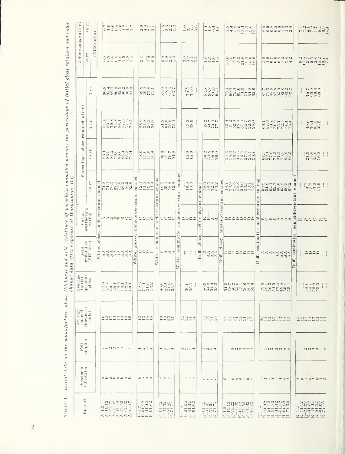| l                  |         |
|--------------------|---------|
|                    |         |
|                    |         |
|                    |         |
|                    |         |
|                    |         |
|                    |         |
|                    |         |
|                    |         |
|                    |         |
|                    |         |
|                    |         |
|                    |         |
|                    |         |
| ¢                  |         |
| ţ                  |         |
|                    |         |
|                    |         |
| I                  |         |
|                    |         |
|                    |         |
|                    |         |
|                    |         |
|                    |         |
|                    |         |
|                    |         |
|                    | I<br>j  |
|                    |         |
|                    |         |
|                    |         |
|                    |         |
| Ĵ                  | OIBIBID |
|                    |         |
|                    |         |
| l088.              |         |
| t<br>i             |         |
|                    |         |
| į                  | I       |
| l                  |         |
| ł<br>$\frac{1}{2}$ |         |
|                    |         |
|                    |         |
|                    |         |
|                    |         |
|                    |         |
|                    |         |
|                    | l       |
| ļ                  |         |
|                    |         |
|                    |         |
|                    |         |
| l<br>ВI.           |         |
|                    |         |
|                    |         |

 $\ddot{\phantom{a}}$ 

|                                               |                                                                                                             | 5 yr                                        | units)            |                                                               |  | stoowtite<br>Noowtite                      |                   |                                                                                                          | aser<br>al#al#         |                      | ဖြစ်စµ်<br>မြစ်စြေး                                                                                                                                                                                                                                                                                                            |                         |                      | ာက္ ကို တဲ့<br>(၂) တဲ့ ကို တဲ့                                                                  |                |                    | まるます                                                                                       |                   |                                    | ြမ္းတဲ့ ဓားကလံများ<br>မြောက်လက္ကြဲတစ္ခုမ်ား            |                     | alooooH4a                                                                                                                                                                                                                                                                                                                                                                                                                                                  |                     |                                                                                                                                                                                                                                                                                                                                                     |
|-----------------------------------------------|-------------------------------------------------------------------------------------------------------------|---------------------------------------------|-------------------|---------------------------------------------------------------|--|--------------------------------------------|-------------------|----------------------------------------------------------------------------------------------------------|------------------------|----------------------|--------------------------------------------------------------------------------------------------------------------------------------------------------------------------------------------------------------------------------------------------------------------------------------------------------------------------------|-------------------------|----------------------|-------------------------------------------------------------------------------------------------|----------------|--------------------|--------------------------------------------------------------------------------------------|-------------------|------------------------------------|--------------------------------------------------------|---------------------|------------------------------------------------------------------------------------------------------------------------------------------------------------------------------------------------------------------------------------------------------------------------------------------------------------------------------------------------------------------------------------------------------------------------------------------------------------|---------------------|-----------------------------------------------------------------------------------------------------------------------------------------------------------------------------------------------------------------------------------------------------------------------------------------------------------------------------------------------------|
| Color change after                            |                                                                                                             | $\boldsymbol{Y}$<br>$\overline{30}$         | (NBS              |                                                               |  | edediriya<br>edediriya                     |                   | $\frac{1}{2}$                                                                                            | $\frac{1}{1.9}$        |                      |                                                                                                                                                                                                                                                                                                                                | $\cdot$<br>호호코호<br>아프야크 |                      | ়ণ কণ<br>တံတဲ့ စန်းကို                                                                          |                |                    | anoin<br>HHHH                                                                              |                   |                                    | der de de de<br>de de de desemble<br>de de de de de de |                     | oarocchha                                                                                                                                                                                                                                                                                                                                                                                                                                                  |                     | ត្តដឹង១១ភូមិដែ<br>ព្រះដឹង១១ភូមិដែ                                                                                                                                                                                                                                                                                                                   |
|                                               |                                                                                                             | FT,<br>$\overline{\phantom{0}}$             |                   |                                                               |  | 역바드로크의쪽의<br>Oing Oal OU<br>G G W G G G G G |                   |                                                                                                          | sas<br>SSEE            |                      |                                                                                                                                                                                                                                                                                                                                | okidia<br>Tuga          |                      | $\frac{6.91}{2.07}$                                                                             | $\mathbb{I}$   |                    | 22361<br>2016<br>2016                                                                      |                   |                                    | rarentes<br>Sagurias                                   |                     | ျဖစ္သစ္ ၁၀၀၀<br>ဥပုဂံမွာ ၁၀၀၀၀<br>မြန္မာ ၁၀၀၀၀၀                                                                                                                                                                                                                                                                                                                                                                                                            |                     | ၉၀၀၀၀<br>၁၉၀၀၀<br>၁၉၀၀<br>Н<br>$\mathbf{I}$                                                                                                                                                                                                                                                                                                         |
|                                               | after<br>retained                                                                                           | F.<br>$\sim$                                |                   | 880-1-371-2<br>ロミロキュアエリ<br>エミストラー                             |  |                                            |                   |                                                                                                          | anan<br>Sabat<br>Nanan |                      | ದ ದೇಹ<br>ಬಗ್ಗೆ ಹಿಂದೆ<br>ಸ್ಪರ್ಧೆ                                                                                                                                                                                                                                                                                                |                         |                      | $\frac{13.2}{38.0}$                                                                             |                |                    | ender<br>Salt                                                                              |                   |                                    | odoxurio<br>Sinaxessa<br>Oboxurio                      |                     |                                                                                                                                                                                                                                                                                                                                                                                                                                                            |                     | ၂၀ <del>၂</del> ကိုယ့်<br>၂ ရက္က ကိုယ့်<br>၂ ရက်ကိုယ်ကို<br>$\frac{1}{2}$                                                                                                                                                                                                                                                                           |
|                                               | $\frac{\alpha}{2}$ 0.88<br>Percentage                                                                       | H,<br>$\frac{15}{11}$                       |                   | ြစ္တစ္ ေရးအဖြဲ႕<br>အဆို႕ ေရးအစိတ္တပ္တဲ့<br>မြန္မာ ေရးေရးအဖြဲ႕ |  |                                            |                   |                                                                                                          | occ+<br>Signe          |                      | 유로토주<br>중화중국<br>유래동료                                                                                                                                                                                                                                                                                                           |                         |                      | $\frac{1}{10}$ .0                                                                               |                |                    | ender<br>Silon<br>Silon                                                                    |                   |                                    |                                                        |                     | <b>おおててものです。そのことにものの</b><br>そのでもです。 そのこと                                                                                                                                                                                                                                                                                                                                                                                                                   |                     | $\frac{13.8889}{21.8889}$<br>$\frac{1}{1}$<br>$\frac{1}{2}$                                                                                                                                                                                                                                                                                         |
|                                               |                                                                                                             | ķ,<br>$\frac{30}{2}$                        | ename             | rtherets<br>Erstess                                           |  |                                            | ename             |                                                                                                          |                        | ename                | ။<br>အိုကိုကိုင်း<br>(၂) မိုကို                                                                                                                                                                                                                                                                                                |                         | enamel               | $\frac{10.9}{10.9}$                                                                             |                | enamel             | cianoj<br>cineia<br>mmb                                                                    | ename             |                                    | rantonica<br>Catriconica<br>Panachen                   | ename               | ा बनान बना गुना<br>कर्ना संसद्ध गुना हुए<br>भाग बना के बना के स                                                                                                                                                                                                                                                                                                                                                                                            | enam                | $\begin{array}{c}\n 17.73 \\  14.73 \\  17.73 \\  17.73 \\  17.73 \\  18.73 \\  19.73 \\  19.73 \\  19.73 \\  19.73 \\  19.73 \\  19.73 \\  19.73 \\  19.73 \\  19.73 \\  19.73 \\  19.73 \\  19.73 \\  19.73 \\  19.73 \\  19.73 \\  19.73 \\  19.73 \\  19.73 \\  19.73 \\  19.73 \\  19.73 \\  19.73 \\  19.73 \\  19.73 \\  1$<br>$\frac{1}{2}$ |
|                                               |                                                                                                             | Visual<br>weathering!<br>rating             | acid-resistant    |                                                               |  | ∢∢¤¤¤¤oc                                   | nonacid-resistant |                                                                                                          | ರರಿಗಿರ                 | acid-resistan        |                                                                                                                                                                                                                                                                                                                                | 心頭な                     | nonacid-resistant    | AUAA                                                                                            |                | Đ<br>acid-resistan | 四四너너                                                                                       | nonacid-resistant |                                    | <b>AAAAAAAA</b>                                        | -resistant<br>acid- | mommadd                                                                                                                                                                                                                                                                                                                                                                                                                                                    | nonacid-resistant   | AAUUUAAU                                                                                                                                                                                                                                                                                                                                            |
| enange data after cxposure at Washington, D.C |                                                                                                             | ${\rm \frac{A}{195} \atop \text{PBI test}}$ | glossy.<br>White. | तद्रवत्तत्त्वत्<br>बनवनवन्दन                                  |  |                                            | glossy<br>White,  |                                                                                                          | ບບຊບ                   | semimatte,<br>White. | ∪বৰৰ                                                                                                                                                                                                                                                                                                                           |                         | semimatte.<br>White, | دعر                                                                                             |                | glossy,<br>Buff.   | maaa<br>बनव                                                                                | glossy<br>Bnff,   |                                    | AAYAAAAA                                               | semimatte,<br>Buff. | বৰৰৰৰৰৰ<br>বৰৰৰ                                                                                                                                                                                                                                                                                                                                                                                                                                            | semimatte.<br>Buff. | $A = 2$<br>$\pm$<br>÷                                                                                                                                                                                                                                                                                                                               |
|                                               |                                                                                                             | Average<br>Initial<br>specular<br>gloss     |                   |                                                               |  |                                            |                   | eneoi<br>Shine<br>Espe                                                                                   |                        |                      | ទុកទុត្យ<br>ទុត្តក្នុង<br>កូនធ្វើឆ្នាំ                                                                                                                                                                                                                                                                                         |                         |                      | $\frac{1}{561}$                                                                                 | $\overline{1}$ |                    | ត្តព្យាធ្វើ<br>ទីដាក់នាំ<br>ដែលដាល់                                                        |                   |                                    | ここと こうしょうしょう しゅうじょう しゅうしょう しょうしょう しょうしょう しょうしょう しょうしょう |                     | christian<br>computering<br>computering                                                                                                                                                                                                                                                                                                                                                                                                                    |                     | းများ စော်<br>မြစ်စုံစုံစုံ<br>မြစ်စုံစုံစုံ<br>丰丰<br>$\mathbb I$                                                                                                                                                                                                                                                                                   |
|                                               | $\begin{array}{c} {\Lambda} \text{verng} \\ \text{enumel} \\ \text{thickness} \\ \text{(mils)} \end{array}$ |                                             |                   | <b>CONFIRMACCO</b><br>--------                                |  |                                            |                   | vé te ro ro<br>$-1$ $-1$ $-1$                                                                            |                        |                      | anne<br>HH2IH                                                                                                                                                                                                                                                                                                                  |                         |                      | 실질로로<br>$- - - -$                                                                               |                |                    | <b>com</b> to<br>$- - - -$                                                                 |                   | -------                            | じドアーシーシン                                               |                     | ちょりじけいじ<br>$\hspace{0.2cm} {\color{blue} \mathfrak{A}} \hspace{0.1cm} {\color{blue} \mathfrak{m}} \hspace{0.1cm} {\color{blue} \mathfrak{m}} \hspace{0.1cm} {\color{blue} \mathfrak{m}} \hspace{0.1cm} {\color{blue} \mathfrak{m}} \hspace{0.1cm} {\color{blue} \mathfrak{m}} \hspace{0.1cm} {\color{blue} \mathfrak{m}} \hspace{0.1cm} {\color{blue} \mathfrak{m}} \hspace{0.1cm} {\color{blue} \mathfrak{m}} \hspace{0.1cm} {\color{blue} \mathfrak{m}}$ |                     | りとシーテーエー<br>--------                                                                                                                                                                                                                                                                                                                                |
|                                               | Frit<br>supplier                                                                                            |                                             |                   | 코코아 나 아 나 나                                                   |  |                                            |                   | 노현송국                                                                                                     |                        |                      | 글인증 구                                                                                                                                                                                                                                                                                                                          |                         |                      | 군일중국                                                                                            |                |                    | $-$ 0100 $+$                                                                               |                   | $- - \alpha \alpha \alpha \pi + -$ |                                                        |                     | ㅋㅋ여의유유카카                                                                                                                                                                                                                                                                                                                                                                                                                                                   |                     | 트트의의303대대                                                                                                                                                                                                                                                                                                                                           |
|                                               | Specimen<br>fabricator                                                                                      |                                             |                   | <b>HARAHA</b>                                                 |  |                                            |                   | صعبعه                                                                                                    |                        |                      | しししし                                                                                                                                                                                                                                                                                                                           |                         |                      | しししし                                                                                            |                |                    | ママママ                                                                                       |                   | ನ ನಿವಾದ ಕಾರಿ ಇ                     |                                                        |                     |                                                                                                                                                                                                                                                                                                                                                                                                                                                            |                     | મ કામ આખ સમત                                                                                                                                                                                                                                                                                                                                        |
|                                               | Enamel                                                                                                      |                                             |                   | 부부북북부부북                                                       |  |                                            |                   | $\begin{array}{l} \hline \text{B=1,2} \\ \text{B=21,22} \\ \text{B=41,42} \\ \text{B=61,62} \end{array}$ |                        |                      | $\begin{array}{l} \begin{array}{l} 1.12 \\[-1.1132 \\[-1.1132 \\[-1.1132 \\[-1.1132 \\[-1.1132 \\[-1.1132 \\[-1.1132 \\[-1.1132 \\[-1.1132 \\[-1.1132 \\[-1.1132 \\[-1.1132 \\[-1.1132 \\[-1.1132 \\[-1.1132 \\[-1.1132 \\[-1.1132 \\[-1.1132 \\[-1.1132 \\[-1.1132 \\[-1.1132 \\[-1.1132 \\[-1.1132 \\[-1.1132 \\[-1.1132 \\$ |                         |                      | $\begin{array}{c} 1) - 1.2 \\ 1) - 21.22 \\ 1) - 21.42 \\ 1) - 41.42 \\ 1) - 61.62 \end{array}$ |                |                    | $\begin{array}{l} 0.1111 \\ 1.32 \\ 1.3111 \\ 1.52 \\ 1.52 \\ 1.52 \\ 1.52 \\ \end{array}$ |                   |                                    |                                                        |                     | $\begin{array}{l} -1.2 \\ -1.12 \\ -1.13 \\ -1.33 \\ -1.51 \\ -1.51 \\ -1.51 \\ -1.51 \\ -1.51 \\ -1.51 \\ -1.51 \\ -1.51 \\ -1.51 \\ -1.51 \\ -1.51 \\ -1.51 \\ -1.51 \\ -1.51 \\ -1.51 \\ -1.51 \\ -1.51 \\ -1.51 \\ -1.51 \\ -1.51 \\ -1.51 \\ -1.51 \\ -1.51 \\ -1.51 \\ -1.51 \\ -1.51 \\ -1.51 \\ -1.51 \\ -1.51 \\ -1.51 \\ -1.51 \\ -1.5$<br>ENENHE                                                                                                |                     | <br> 이 13831892<br> - 13845555<br>2232223                                                                                                                                                                                                                                                                                                           |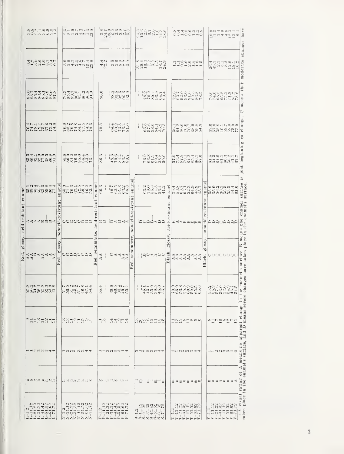|                      | agine de aixe<br>algebra                                       |                                       |          |  | ic Horesterio<br>Mal Horesterio         |                 |                   |             |  | ိတ်း– စိတ်ဆိုတ်မှာ မလို<br>လက်လို့ ရေးလိုက်ပေးပို့<br>လက်လို့                                                                                                                                                                                                                                                       |                    |  |  | steat-come<br>HighlenHHz<br>SH                                                                                                                                                                                                 |                  |          |  | sa de de de<br>Serio de de                                |                       |        |  | - 이후 박으우 22 개 개<br>- 이 디 리 카 카 인 인 이<br>- 디 푸                                                              | have<br>changes                                                                              |
|----------------------|----------------------------------------------------------------|---------------------------------------|----------|--|-----------------------------------------|-----------------|-------------------|-------------|--|---------------------------------------------------------------------------------------------------------------------------------------------------------------------------------------------------------------------------------------------------------------------------------------------------------------------|--------------------|--|--|--------------------------------------------------------------------------------------------------------------------------------------------------------------------------------------------------------------------------------|------------------|----------|--|-----------------------------------------------------------|-----------------------|--------|--|------------------------------------------------------------------------------------------------------------|----------------------------------------------------------------------------------------------|
|                      | せいりゅうてきてき                                                      |                                       |          |  | aor-Her-Ho<br>Saidheanac                |                 | $\frac{4.4}{22}$  |             |  | းဝိုက်ပေးပါ<br>ပြည်သူတို့                                                                                                                                                                                                                                                                                           |                    |  |  | sian dia dia 142<br>Na dia 142<br>Na dia 142                                                                                                                                                                                   |                  |          |  | HHQHQHHH<br>HHQHQHHH                                      |                       |        |  |                                                                                                            |                                                                                              |
|                      |                                                                |                                       |          |  | siredisse<br>assesser                   |                 | $86.6\,$          | $\,$ $\,$   |  | းရုံးရုံးရုံးရုံးရုံးရုံး<br>မြန်မာရေးရုံးရုံးရုံးရုံး                                                                                                                                                                                                                                                              |                    |  |  |                                                                                                                                                                                                                                |                  |          |  | er-oocman<br>amam-laba<br>r-ooccock                       |                       |        |  | e o zwinonie<br>prizidinie<br>prizidinie                                                                   | means that moderate                                                                          |
|                      | りてびこうじょう しょうせいきょう しょうしょう しょうせいしょう                              |                                       |          |  | <b>てきててきていていこう</b><br>ことでもますです。<br>ことです |                 | 70.3              |             |  | $\frac{1}{3}$ $\frac{1}{3}$ $\frac{1}{3}$ $\frac{3}{3}$ $\frac{3}{3}$ $\frac{3}{3}$ $\frac{3}{3}$ $\frac{3}{3}$ $\frac{3}{3}$ $\frac{3}{3}$ $\frac{3}{3}$ $\frac{3}{3}$ $\frac{3}{3}$ $\frac{3}{3}$ $\frac{3}{3}$ $\frac{3}{3}$ $\frac{3}{3}$ $\frac{3}{3}$ $\frac{3}{3}$ $\frac{3}{3}$ $\frac{3}{3}$ $\frac{3}{3}$ |                    |  |  |                                                                                                                                                                                                                                |                  |          |  | エジタクトのスの<br>ウオウウウガのボ<br>ねのストトのぬね                          |                       |        |  | ひとり エキのじり こうきょうしょう こうきょうきょう                                                                                | $\circ$<br>change,<br>$\mathfrak{g}$                                                         |
|                      | အို႕-၁၀၀၀၀၀<br>အဲဒီအိုးမိုးရွိခဲ့ပါ<br>အဲဒီအိုးမိုးရွိစ္ရွိခဲ့ |                                       |          |  | counted with<br>Septembers<br>Newspaper |                 | 86.3              | ł           |  |                                                                                                                                                                                                                                                                                                                     |                    |  |  | ၂၀၀၀- - ၁၀၀၀- - ၂၀၀၀- - ၁၀၀၀- - ၁၀၀၀- - ၁၀၀၀- - ၁၀၀၀- - ၁၀၀၀- - ၁၀၀၀- - ၁၀၀၀- - ၁၀၀၀- - ၁၀၀၀- - ၁၀၀၀- - ၁၀၀၀-<br>၁၀၀၀- - ၁၀၀၀- - ၁၀၀၀- - ၁၀၀၀- - ၁၀၀၀- - ၁၀၀၀- - ၁၀၀၀- - ၁၀၀၀- - ၁၀၀၀- - ၁၀၀၀- - ၁၀၀၀- - ၁၀၀၀- - ၁၀၀၀- - ၁၀၀၀- |                  |          |  |                                                           |                       |        |  | rono Hudri<br>  Hitles Hitle<br>  Esperanti                                                                | just beginning                                                                               |
| enamer               | - 10141-10044<br>- 1025000001-1<br>- 1025000001-1              | ename                                 |          |  | serenation<br>Storages<br>Storages      | ename           | 66.3              | $\mathsf I$ |  |                                                                                                                                                                                                                                                                                                                     | enam               |  |  |                                                                                                                                                                                                                                | ename            |          |  | キストーのののト<br>ののののようの<br>でののののサイ                            | enam                  |        |  | ာ<br>တက်ထိတ်ထိုးသို့<br>ပြီးပြီးပြီးပြီးပြီးပြီး                                                           | $\frac{9}{15}$<br>surface<br>surface                                                         |
| stant<br>acia-res    | বৰৰৰ¤¤¤ৰ                                                       | nonacid-resistant                     | UUAUUAAA |  |                                         | acid-resistant  | ದ⊂                |             |  | A                                                                                                                                                                                                                                                                                                                   | nonacid-resistant  |  |  | ідомикад                                                                                                                                                                                                                       | acid-resistant   |          |  | 再AABBBBB                                                  | -resistant<br>nonaeid |        |  | АААРАААА                                                                                                   |                                                                                              |
| <b>TIOSSY</b><br>rea | বৰ্ণৰব্ৰৰব্                                                    | <b>OSSY</b><br>$\overline{a}$<br>Red. |          |  |                                         | Red. semimatte, | AA                |             |  | ।्यननुन<br>सन्                                                                                                                                                                                                                                                                                                      | semimatte.<br>Red. |  |  | <b>Imoddoo</b>                                                                                                                                                                                                                 | glossy<br>Black, |          |  | বৰববৰৰৰৰ<br>ৰৰৰৰৰ ৰৰ                                      | glossy<br>Black       |        |  |                                                                                                            | in the enamel's surface, B means the enamel<br>yere changes have taken place in the enamel's |
|                      | renterente<br>Netonomi<br>Renterente                           |                                       |          |  |                                         |                 | 55.4              |             |  | ၂၀) ၁ ၁ ၂ (၁ )<br>၂၀) ၁ ၁ (၁ ) (၁ )<br>၂၀) ၁ ၁ (၁ )                                                                                                                                                                                                                                                                 |                    |  |  |                                                                                                                                                                                                                                |                  |          |  | e e contre e contre<br>Contre e contre<br>Contre e contre |                       |        |  | さんかんしょうせい こうこうしょう こうきょうきょう                                                                                 |                                                                                              |
|                      | onnenann                                                       |                                       |          |  | nnummen                                 |                 | $\frac{110}{110}$ |             |  | $\begin{array}{c} 1 \rightarrow 0 \rightarrow 0 \\ 1 \rightarrow 0 \rightarrow 0 \rightarrow 0 \rightarrow 0 \end{array}$                                                                                                                                                                                           |                    |  |  | ncareannia                                                                                                                                                                                                                     |                  |          |  | HanaxH∞oc                                                 |                       |        |  | ∞큐너움∞≌나큐                                                                                                   | se.<br>change<br>apparent chang<br>and D means                                               |
|                      | ㅋㅋ의의유3하쿠쿠                                                      |                                       |          |  | ਜਜ਼ਨ≀ਨ≀ਨ∵ਚਾਜ                            |                 |                   |             |  | 正正皇皇帝帝朝皇                                                                                                                                                                                                                                                                                                            |                    |  |  | 玉王의의유유부                                                                                                                                                                                                                        |                  |          |  | ਜਜ਼ਾ⊙ 10000 ⇔ 41                                          |                       |        |  | 土土오오유유부                                                                                                    | enamel's surface.<br>$\overline{n}$<br>means                                                 |
|                      | ヒュロ ロコ ココ                                                      |                                       |          |  | れよれはほよれま                                |                 |                   |             |  | <b>にーにーにー</b> にー                                                                                                                                                                                                                                                                                                    |                    |  |  | amamama                                                                                                                                                                                                                        |                  |          |  | 医异蛋白白白白                                                   |                       |        |  | <b>Aaaaaaa</b>                                                                                             | ∢<br>$\sigma$<br>rating<br>in the                                                            |
|                      |                                                                |                                       |          |  | anasasan<br>HHREFFFFFFF<br>ZZZZZZZZ     |                 |                   |             |  |                                                                                                                                                                                                                                                                                                                     |                    |  |  | XXXXXXXXX                                                                                                                                                                                                                      |                  | FFFFFFFF |  |                                                           |                       | レンシンレン |  | $\begin{array}{ c c c c c c } \hline 2 & 1233446222 \\ 111334462221 \\ 111134446221 \\ \hline \end{array}$ | visual<br>place<br>taken<br>≺<br>u,                                                          |

 $\sqrt{3}$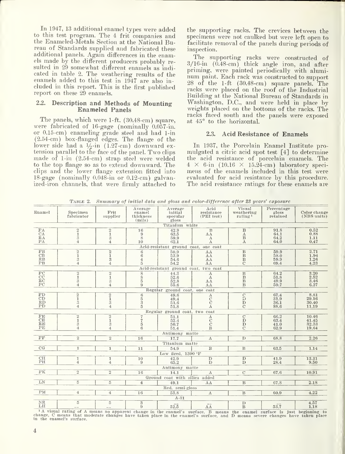In 1947, 13 additional enamel types were added to this test program. The 4 frit companies and the Enameled-Metals Section at the National Bureau of Standards supplied and fabricated these additional panels. Again differences in the enamels made by the different producers probably re sulted in 29 somewhat different enamels as indicated in table 2. The weathering results of the enamels added to this test in 1947 are also in cluded in this report. This is the first published report on these 29 enamels.

#### 2.2. Description and Methods of Mounting Enameled Panels

The panels, which were 1-ft. (30.48-cm) square, were fabricated of  $16$ -gage (nominally  $0.057$ -in. or 0.15-cm) enameling grade steel and had 1-in (2.54-cm) box-flanged edges. The flange of the lower side had a  $\frac{1}{2}$ -in (1.27-cm) downward extension parallel to the face of the panel. Two clips made of 1-in (2.54-cm) strap steel were welded to the top flange so as to extend downward. The clips and the lower flange extension fitted into 18-gage (nominally 0.048-in or 0.12-cm) galvanized-iron channels, that were firmly attached to

the supporting racks. The crevices between the specimens were not caulked but were left open to facilitate removal of the panels during periods of inspection.

The supporting racks were constructed of 3/16-in (0.48-cm) thick angle iron, and after priming, were painted periodically with aluminum paint. Each rack was constructed to support 28 of the 1-ft (30.48-cm) square panels. The racks were placed on the roof of the Industrial Building at the National Bureau of Standards in Washington, D.C., and were held in place by weights placed on the bottoms of the racks. The racks faced south and the panels were exposed at 45° to the horizontal.

#### 2.3. Acid Resistance of Enamels

In 1937, the Porcelain Enamel Institute promulgated a citric acid spot test [4] to determine the acid resistance of porcelain enamels. The  $4 \times 6$ -in  $(10.16 \times 15.24$ -cm) laboratory specimens of the enamels included in this test were evaluated for acid resistance by this procedure. The acid resistance ratings for these enamels are

| Enamel                                  | Specimen<br>fabricator                                                                                                                                                                                                                                                                         | Frit<br>supplier                                               | Average<br>enamel<br>thickness<br>(mils)   | Average<br>initial<br>specular<br>gloss | Acid<br>resistance<br>(PEI test)     | Visual<br>weathering<br>rating <sup>1</sup>                   | Percentage<br>gloss<br>retained | Color change<br>(NBS units)      |
|-----------------------------------------|------------------------------------------------------------------------------------------------------------------------------------------------------------------------------------------------------------------------------------------------------------------------------------------------|----------------------------------------------------------------|--------------------------------------------|-----------------------------------------|--------------------------------------|---------------------------------------------------------------|---------------------------------|----------------------------------|
|                                         |                                                                                                                                                                                                                                                                                                |                                                                |                                            | Titanium white                          |                                      |                                                               |                                 |                                  |
| FA<br>CA<br>RA<br>PA                    | $\overline{2}$<br>1<br>3<br>4                                                                                                                                                                                                                                                                  | $\sqrt{2}$<br>$\overline{1}$<br>3<br>4                         | 16<br>9<br>8<br>10                         | 42.9<br>63.5<br>59.9<br>62.1            | B<br>AA<br>Α<br>A                    | B<br>Α<br>B<br>$\mathbf{A}$                                   | 91.8<br>64.1<br>64.2<br>64.0    | 0.52<br>0.88<br>1.11<br>0.47     |
|                                         |                                                                                                                                                                                                                                                                                                |                                                                |                                            | Acid-resistant ground coat, one coat    |                                      |                                                               |                                 |                                  |
| ${\rm FB}$<br>CB<br>RB<br>PB            | $\overline{2}$<br>$\mathbf{1}$<br>3<br>$\overline{4}$                                                                                                                                                                                                                                          | $\mathbf 2$<br>$\overline{1}$<br>$\boldsymbol{3}$<br>4         | 6<br>6<br>$\overline{4}$<br>$\overline{5}$ | 50.9<br>53.9<br>54.6<br>54.2            | ΑA<br>AA<br>ΑA<br>AΑ                 | $\, {\bf B}$<br>$\mathbf{B}$<br>$\, {\bf B}$<br>$\mathcal{C}$ | 59.9<br>58.0<br>59.9<br>69.4    | 2.71<br>1.94<br>1.26<br>4.23     |
|                                         |                                                                                                                                                                                                                                                                                                |                                                                |                                            | Acid-resistant ground coat, two coat    |                                      |                                                               |                                 |                                  |
| FC<br><b>CC</b><br>RC<br>PC             | $\overline{2}$<br>ī<br>3<br>$\overline{4}$                                                                                                                                                                                                                                                     | $\overline{2}$<br>$\mathbf{1}$<br>$\sqrt{3}$<br>$\overline{4}$ | $8\atop5$<br>9                             | 44.3<br>52.6<br>52.8<br>55.6            | $\mathbf{A}$<br>А<br>ΑA<br>AA        | $\mathbf{B}$<br>$\bar{B}$<br>B<br>B                           | 64.2<br>51.8<br>49.9<br>59.7    | 3.20<br>2.52<br>3.46<br>6.37     |
|                                         |                                                                                                                                                                                                                                                                                                |                                                                |                                            | Regular ground coat, one coat           |                                      |                                                               |                                 |                                  |
| $\rm FD$<br>CD<br>$\overline{RD}$<br>PD | $\sqrt{2}$<br>$\mathbf{1}$<br>3<br>4                                                                                                                                                                                                                                                           | $\sqrt{2}$<br>$\overline{1}$<br>$\sqrt{3}$<br>$\overline{4}$   | ರಿ ರು ರಾ<br>ನಿ                             | 49.6<br>49.4<br>51.6<br>51.8            | А<br>$\mathbf C$<br>C<br>A           | $\rm _D^C$<br>$\mathbb D$<br>$\mathcal{C}$                    | 67.4<br>31.9<br>36.1<br>88.6    | 8.81<br>29.16<br>30.40<br>11.19  |
|                                         |                                                                                                                                                                                                                                                                                                |                                                                |                                            | Regular ground coat, two                | coat                                 |                                                               |                                 |                                  |
| FE<br>CE<br>RE<br>PE                    | $\overline{2}$<br>$\mathbf{1}$<br>3<br>$\overline{4}$                                                                                                                                                                                                                                          | $\overline{2}$<br>$\mathbf{1}$<br>$\boldsymbol{3}$<br>4        | $\frac{7}{5}$<br>6                         | 51.1<br>52.4<br>50.7<br>51.4            | А<br>$\mathbf C$<br>$\mathbf C$<br>B | $\mathbf C$<br>Đ<br>$\mathbb D$<br>C                          | 66.2<br>63.4<br>41.0<br>62.9    | 10.46<br>41.45<br>32.33<br>19.64 |
|                                         |                                                                                                                                                                                                                                                                                                |                                                                |                                            | Antimony matte                          |                                      |                                                               |                                 |                                  |
| FF                                      | $\overline{2}$                                                                                                                                                                                                                                                                                 | $\mathbf{2}$                                                   | 16                                         | 17.7                                    | $\Lambda$                            | $\mathbf{D}$                                                  | 68.8                            | 2.26                             |
|                                         |                                                                                                                                                                                                                                                                                                |                                                                |                                            | Titanium matte                          |                                      |                                                               |                                 |                                  |
| CG                                      | $\mathbf{1}$                                                                                                                                                                                                                                                                                   | $\mathbf{1}$                                                   | 11                                         | 54.9                                    | $\overline{B}$                       | $\mathbf{B}$                                                  | 63.5                            | 1.14                             |
|                                         |                                                                                                                                                                                                                                                                                                |                                                                |                                            | Low fired, 1300 °F                      |                                      |                                                               |                                 |                                  |
| <b>CH</b><br>PH                         | $\mathbf{1}$<br>$\overline{4}$                                                                                                                                                                                                                                                                 | $\mathbf{1}$<br>$\overline{4}$                                 | 10<br>9                                    | 42.9<br>65.2                            | $\mathbb{D}$<br>$\mathbf{D}$         | $\overline{D}$<br>$\mathbf{D}$                                | 41.9<br>28.4                    | 13.31<br>9.50                    |
| $\rm{FK}$                               | $\overline{2}$                                                                                                                                                                                                                                                                                 | $\mathbf{2}$                                                   | 16                                         | Antimony matte<br>14.1                  | $\Lambda$                            | $\mathbf C$                                                   | 67.6                            | 10.91                            |
|                                         |                                                                                                                                                                                                                                                                                                |                                                                |                                            | Ground coat with silica added           |                                      |                                                               |                                 |                                  |
| LN                                      | 5                                                                                                                                                                                                                                                                                              | $\overline{5}$                                                 | $\overline{4}$                             | 49.1                                    | AA                                   | $\mathbf{B}$                                                  | 67.8                            | 2.18                             |
|                                         |                                                                                                                                                                                                                                                                                                |                                                                |                                            | Red. semi-gloss                         |                                      |                                                               |                                 |                                  |
| PM                                      | $\overline{4}$                                                                                                                                                                                                                                                                                 | $\overline{4}$                                                 | 16                                         | 53.8                                    | $\Lambda$                            | $\mathbf B$                                                   | 60.9                            | 4.22                             |
|                                         |                                                                                                                                                                                                                                                                                                |                                                                |                                            | $A-31$                                  |                                      |                                                               |                                 |                                  |
| NR<br>LH                                | $\overline{5}$                                                                                                                                                                                                                                                                                 | $\overline{5}$                                                 | 3<br>9                                     | 52.5                                    | $\overline{AA}$                      | $\mathbf D$<br>$\bar{\mathbf{B}}$                             | 53.7                            | 4.57<br>1.18                     |
|                                         | <sup>1</sup> A visual rating of A means no apparent change in the enamel's surface, B means the enamel surface is just beginning to<br>change, C means that moderate changes have taken place in the enamel's surface, and D means severe changes have taken place<br>in the enamel's surface. |                                                                |                                            |                                         |                                      |                                                               |                                 |                                  |

Table 2. Summary of initial data and gloss and color-difference after 23 years' exposure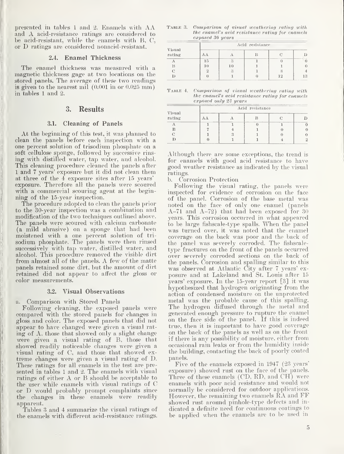presented in tables <sup>1</sup> and 2. Enamels with AA and A acid-resistance ratings are considered to be acid-resistant, while the enamels with B, C, or D ratings are considered nonacid-resistant.

#### 2.4. Enamel Thickness

The enamel thickness was measured with a magnetic thickness gage at two locations on the stored panels. The average of these two readings is given to the nearest mil  $(0.001 \text{ in or } 0.025 \text{ mm})$ in tables <sup>1</sup> and 2.

#### 3. Results

#### 3.1. Cleaning of Panels

At the beginning of this test, it was planned to clean the panels before each inspection with a one percent solution of trisodinm phosphate on a soft cellulose sponge, followed by successive rins ing with distilled water, tap water, and alcohol. This cleaning procedure cleaned the panels after <sup>1</sup> and 7 years' exposure but it did not clean them at three of the  $\overline{4}$  exposure sites after 15 years' exposure. Therefore all the panels were scoured with a commercial scouring agent at the beginning of the 15-year inspection.

The procedure adopted to clean the panels prior to the 30-year inspection was a combination and modification of the two techniques outlined above. The panels were scoured with calcium carbonate (a mild abrasive) on a sponge that had been moistened with a one percent solution of tri sodium phosphate. The panels were then rinsed successively with tap water, distilled water, and alcohol. This procedure removed the visible dirt from almost all of the panels. A few of the matte panels retained some dirt, but the amount of dirt retained did not appear to affect the gloss or color measurements.

#### 3.2. Visual Observations

a. Comparison with Stored Panels

Following cleaning, the exposed panels were compared with the stored panels for changes in gloss and color. The exposed panels that did not appear to have changed were given a visual rat ing of A, those that showed only a slight change were given a visual rating of B, those that showed readily noticeable changes were given a visual rating of C, and those that showed ex treme changes were given a visual rating of D. These ratings for all enamels in the test are presented in tables  $1$  and  $2$ . The enamels with visual ratings of either A or B should be acceptable to the user while enamels with visual ratings of C or D would probably prompt complaints since the changes in these enamels were readily apparent.

Tables 3 and 4 summarize the visual ratings of the enamels with different acid-resistance ratings.

TABLE 3. Comparison of visual weathering rating with the enamel's acid resistance rating for enamels exposed 30 years

|                  | Acid resistance |     |  |  |         |  |  |  |  |  |  |
|------------------|-----------------|-----|--|--|---------|--|--|--|--|--|--|
| Visual<br>rating |                 |     |  |  | ------- |  |  |  |  |  |  |
|                  | 15              | --- |  |  |         |  |  |  |  |  |  |
|                  |                 |     |  |  |         |  |  |  |  |  |  |
|                  |                 |     |  |  |         |  |  |  |  |  |  |
|                  |                 |     |  |  |         |  |  |  |  |  |  |

TABLE 4. Comparison of visual weathering rating with the enamel's acid resistance rating for enamels exposed only 23 years

| Visual | and the following company and company to the standard property | Acid resistance |  |
|--------|----------------------------------------------------------------|-----------------|--|
| rating |                                                                |                 |  |
|        |                                                                |                 |  |
|        |                                                                |                 |  |
|        |                                                                |                 |  |
|        |                                                                |                 |  |

Although there are some exceptions, the trend is for enamels with good acid resistance to have good weather resistance as indicated by the visual ratings.

b. Corrosion Protection

Following the visual rating, the panels were inspected for evidence of corrosion on the face of the panel. Corrosion of the base metal was noted on the face of only one enamel (panels  $A-71$  and  $A-72$ ) that had been exposed for 30 years. This corrosion occurred in what appeared to be large fishscale-type spalls. When the panel was turned over, it was noted that the enamel coverage on the back was poor and the back of the panel was severely corroded. The fishscale type fractures on the front of the panels occurred over severely corroded sections on the back of the panels. Corrosion and spalling similar to this was observed at Atlantic City after 7 years' ex posure and at Lakeland and St. Louis after 15 years' exposure. In the 15-year report [3] it was hypothesized that hydrogen originating from the action of condensed moisture on the unprotected metal was the probable cause of this spalling. The hydrogen diffused through the metal and generated enough pressure to rupture the enamel on the face side of the panel. If this is indeed true, then it is important to have good coverage on the back of the panels as well as on the front if there is any possibility of moisture, either from occasional rain leaks or from the humidity inside the building, contacting the back of poorly coated panels.

Five of the enamels exposed in 1947 (23 years' exposure) showed rust on the face of the panels. Three of these enamels (CD, RD, and CH) were enamels with poor acid resistance and would not normally be considered for outdoor applications. However, the remaining two enamels  $\tilde{R}A$  and  $FF$ showed rust around pinhole-type defects and indicated a definite need for continuous coatings to be applied when the enamels are to be used in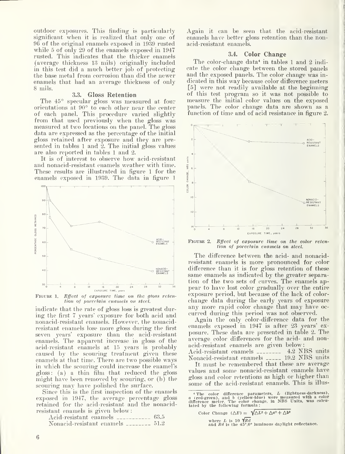outdoor exposures. This finding is particularly significant when it is realized that only one of 96 of the original enamels exposed in 1939 rusted while 5 of only 29 of the enamels exposed in 1947 rusted. This indicates that the thicker enamels (average thickness 13 mils) originally included in this test did a much better job of protecting the base metal from corrosion than did the newer enamels that had an average thickness of only 8 mils.

#### 3.3. Gloss Retention

The 45° specular gloss was measured at four orientations at 90° to each other near the center of each panel. This procedure varied slightly from that used previously when the gloss was measured at two locations on the panel. The gloss data are expressed as the percentage of the initial gloss retained after exposure and they are pre sented in tables 1 and  $\hat{2}$ . The initial gloss values are also reported in tables <sup>1</sup> and 2.

It is of interest to observe how acid-resistant and nonacid-resistant enamels weather with time.<br>
These results are illustrated in figure 1 for the enamels exposed in 1939. The data in figure 1 These results are illustrated in figure <sup>1</sup> for the enamels exposed in 1939. The data in figure <sup>1</sup>



FIGURE 1. Effect of exposure time on the gloss retention of porcelain enamels on steel.

indicate that the rate of gloss loss is greatest during the first 7 years' exposure for both acid and nonacid-resistant enamels. However, the nonacidresistant enamels lose more gloss during the first seven years' exposure than the acid-resistant enamels. The apparent increase in gloss of the acid-resistant enamels at 15 years is probably caused by the scouring treatment given these enamels at that time. There are two possible ways in which the scouring could increase the enamel's gloss: (a) a thin film that reduced the gloss might have been removed by scouring, or (b) the scouring may have polished the surface.

Since this is the first inspection of the enamels exposed in 1947, the average percentage gloss retained for the acid-resistant and the nonacidresistant enamels is given below

Acid-resistant enamels \_\_\_\_\_\_\_\_\_\_ 63.5 Nonacid-resistant enamels \_\_\_\_\_\_\_\_ 51.2

Again it can be seen that the acid-resistant enamels have better gloss retention than the nonacid-resistant enamels.

#### 3.4. Color Change

The color-change data<sup>4</sup> in tables 1 and 2 indicate the color change between the stored panels and the exposed panels. The color change was in dicated in this way because color difference meters [5] were not readily available at the beginning of this test program so it was not possible to measure the initial color values on the exposed panels. The color change data are shown as a function of time and of acid resistance in figure 2.



FIGURE 2. Effect of exposure time on the color retention of porcelain enamels on steel.

The difference between the acid- and nonacidresistant enamels is more pronounced for color difference than it is for gloss retention of these same enamels as indicated by the greater separation of the two sets of curves. The enamels appear to have lost color gradually over the entire exposure period, but because of the lack of color change data during the early years of exposure any more rapid color change that may have oc curred during this period was not observed.

Again the only color-difference data for the enamels exposed in 1947 is after 23 years' ex posure. These data are presented in table 2. The average color differences for the acid- and nonacid-resistant enamels are given below:

Acid-resistant enamels \_\_\_\_\_\_\_\_ 4.2 NBS units Nonacid-resistant enamels ----- 19.2 NBS units

It must be remembered that these are average values and some nonacid-resistant enamels have gloss and color retentions as high or higher than some of the acid-resistant enamels. This is illus-

<sup>\*</sup> The color difference parameters, L (lightness-darkness), a (red-green), and <sup>b</sup> (vellow-blue) were measured with a color difference meter. The color change, in NBS Units, was calcu- lated by the following formula :



where L is 10  $\sqrt{Rd}$ <br>and Rd is the 45°,0° luminous daylight reflectance.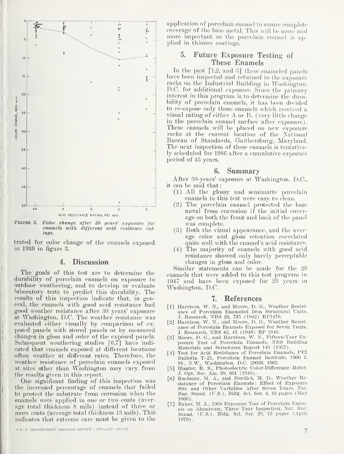

FIGURE 3. Color change after 30 years' exposure for enamels with different acid resitance ratings.

trated for color change of the enamels exposed in 1939 in figure 3.

#### 4. Discussion

The goals of this test are to determine the durability of porcelain enamels on exposure to outdoor weathering, and to develop or evaluate laboratory tests to predict this durability. The results of this inspection indicate that, in general, the enamels with good acid resistance had good weather resistance after 30 years' exposure at Washington, D.C. The weather resistance was evaluated either visually by comparison of ex posed panels with stored panels or by measured changes in gloss and color of the exposed panels. Subsequent weathering studies [6,7] have indicated that enamels exposed at different locations often weather at different rates. Therefore, the weather resistance of porcelain enamels exposed at sites other than Washington may vary from the results given in this report.

One significant finding of this inspection was the increased percentage of enamels that failed to protect the substrate from corrosion when the enamels were applied in one or two coats (average total thickness 8 mils) instead of three or more coats (average total thickness 13 mils). This indicates that extreme care must be given to the application of porcelain enamel to assure complete coverage of the base metal. This will be more and more important as the porcelain enamel is applied in thinner coatings.

#### 5. Future Exposure Testing of These Enamels

In the past [1,2, and 3] these enameled panels have been inspected and returned to the exposure racks on the Industrial Building in Washington, p.C. for additional exposure. Since the primary interest in this program is to determine the durability of porcelain enamels, it has been decided to re-expose only those enamels which received a visual rating of either  $\Lambda$  or B, (very little change in the porcelain enamel surface after exposure). These enamels will be placed on new exposure racks at the current location of the National Bureau of Standards, Gaithersburg, Maryland. The next inspection of these enamels is tentatively scheduled for 1986 after a cumulative exposure period of 45 years.

#### 6. Summary

After 30-years' exposure at Washington, D.C, it can be said that

- (1) All the glossy and semimatte porcelain enamels in this test were easy to clean.
- (2) The porcelain enamel protected the base metal from corrosion if the initial cover age on both the front and back of the panel was complete.
- (3) Both the visual appearance, and the aver age color and gloss retention correlated quite well with the enamel's acid resistance.
- (4) The majority of enamels with good acid resistance showed only barely perceptable changes in gloss and color.

Similar statements can be made for the 29 enamels that were added to this test program in 1947 and have been exposed for 23 years in Washington, D.C.

#### 7. References

- [1] Harrison, W. N., and Moore, D. G., Weather Resist- ance of Porcelain Enameled Iron Structural Units, .1. Research, NBS 28, 735 (1942) RP1476.
- [2] Harrison, W. N., and Moore, D. G., Weather Resist ance of Porcelain Enamels Exposed for Seven Years, J. Research, NBS 42, <sup>43</sup> (1949) RP 1949.
- [3] Moore, D. G., and Harrison, W. N., Fifteen-Tear Exposure Test of Porcelain Enamels, NBS Building Materials and Structures Report 148 (1957).  $\blacksquare$
- [4] Test for Acid Resistance of Porcelain Enamels, PEI Bulletin T-21, Porcelain Enamel Institute, 1900 L St., N.W., Washington, D.C. 20036, 1962.
- [5] Hunter, R. S., Photoelectric Color-Difference Meter, J. Opt. Soc. Am. 38, 661 (1948).
- [6] Rushmer. M. A., and Burdick, M. D., Weather Resistance of Porcelain Enamels: Effect of Exposure Site and Other Variables After Seven Years, Nat. Bur. Stand. (U.S.), Bldg. Sci. Ser. 4, 16 pages (May 1966).
- [7] Baker, M. A., <sup>1964</sup> Exposure Test of Porcelain Enamels on Aluminum, Three Year Inspection. Nat. Bur. Stand. (U.S.), Bldg. Sci. Ser. 29. 13 pages (April 1970).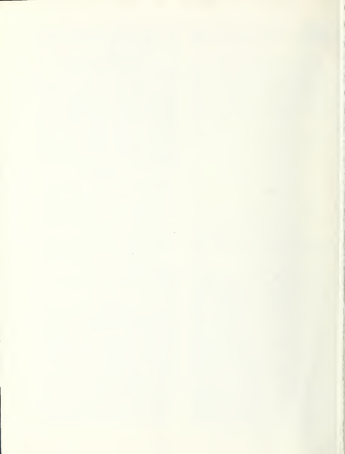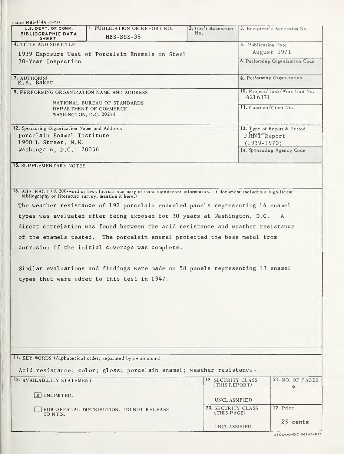| FORM NBS-114A (1-71)                                 |                                                                                                                                                                                                                                                                                                                                                                                                                                                                                                                |                                     |                        |                                 |
|------------------------------------------------------|----------------------------------------------------------------------------------------------------------------------------------------------------------------------------------------------------------------------------------------------------------------------------------------------------------------------------------------------------------------------------------------------------------------------------------------------------------------------------------------------------------------|-------------------------------------|------------------------|---------------------------------|
| U.S. DEPT. OF COMM.<br><b>BIBLIOGRAPHIC DATA</b>     | 1. PUBLICATION OR REPORT NO.                                                                                                                                                                                                                                                                                                                                                                                                                                                                                   | 2. Gov't Accession<br>No.           |                        | 3. Recipient's Accession No.    |
| <b>SHEET</b>                                         | NBS-BSS-38                                                                                                                                                                                                                                                                                                                                                                                                                                                                                                     |                                     |                        |                                 |
| 4. TITLE AND SUBTITLE                                |                                                                                                                                                                                                                                                                                                                                                                                                                                                                                                                |                                     | 5. Publication Date    |                                 |
|                                                      | 1939 Exposure Test of Porcelain Enamels on Steel                                                                                                                                                                                                                                                                                                                                                                                                                                                               |                                     |                        | August 1971                     |
| 30-Year Inspection                                   |                                                                                                                                                                                                                                                                                                                                                                                                                                                                                                                |                                     |                        | 6. Performing Organization Code |
| 7. AUTHOR(S)<br>M.A. Baker                           |                                                                                                                                                                                                                                                                                                                                                                                                                                                                                                                |                                     |                        | 8. Performing Organization      |
| 9. PERFORMING ORGANIZATION NAME AND ADDRESS          |                                                                                                                                                                                                                                                                                                                                                                                                                                                                                                                |                                     | 4216371                | 10. Project/Task/Work Unit No.  |
| WASHINGTON, D.C. 20234                               | NATIONAL BUREAU OF STANDARDS<br>DEPARTMENT OF COMMERCE                                                                                                                                                                                                                                                                                                                                                                                                                                                         |                                     | 11. Contract/Grant No. |                                 |
| 12. Sponsoring Organization Name and Address         |                                                                                                                                                                                                                                                                                                                                                                                                                                                                                                                |                                     |                        | 13. Type of Report & Period     |
| Porcelain Enamel Institute                           |                                                                                                                                                                                                                                                                                                                                                                                                                                                                                                                |                                     | FinaleReport           |                                 |
| 1900 L Street, N.W.                                  |                                                                                                                                                                                                                                                                                                                                                                                                                                                                                                                |                                     | $(1939 - 1970)$        |                                 |
| Washington, D.C. 20036                               |                                                                                                                                                                                                                                                                                                                                                                                                                                                                                                                |                                     |                        | 14. Sponsoring Agency Code      |
| <b>15. SUPPLEMENTARY NOTES</b>                       |                                                                                                                                                                                                                                                                                                                                                                                                                                                                                                                |                                     |                        |                                 |
| bibliography or literature survey, mention it here.) | The weather resistance of 192 porcelain enameled panels representing 14 enamel<br>types was evaluated after being exposed for 30 years at Washington, D.C.<br>direct correlation was found between the acid resistance and weather resistance<br>of the enamels tested. The porcelain enamel protected the base metal from<br>corrosion if the initial coverage was complete.<br>Similar evaluations and findings were made on 58 panels representing 13 enamel<br>types that were added to this test in 1947. |                                     |                        | A                               |
|                                                      | 17. KEY WORDS (Alphabetical order, separated by semicolons)                                                                                                                                                                                                                                                                                                                                                                                                                                                    |                                     |                        |                                 |
|                                                      | Acid resistance; color; gloss; porcelain enamel; weather resistance.                                                                                                                                                                                                                                                                                                                                                                                                                                           |                                     |                        |                                 |
| 18. AVAILABILITY STATEMENT                           |                                                                                                                                                                                                                                                                                                                                                                                                                                                                                                                | 19. SECURITY CLASS<br>(THIS REPORT) |                        | 21. NO. OF PAGES<br>9           |
| X UNLIMITED.                                         |                                                                                                                                                                                                                                                                                                                                                                                                                                                                                                                | UNCL ASSIFIED                       |                        |                                 |
| TO NTIS.                                             | FOR OFFICIAL DISTRIBUTION. DO NOT RELEASE                                                                                                                                                                                                                                                                                                                                                                                                                                                                      | 20. SECURITY CLASS<br>(THIS PAGE)   |                        | 22. Price                       |
|                                                      |                                                                                                                                                                                                                                                                                                                                                                                                                                                                                                                | <b>UNCLASSIFIED</b>                 |                        | 25 cents                        |

JSCOMM-DC 66244-P71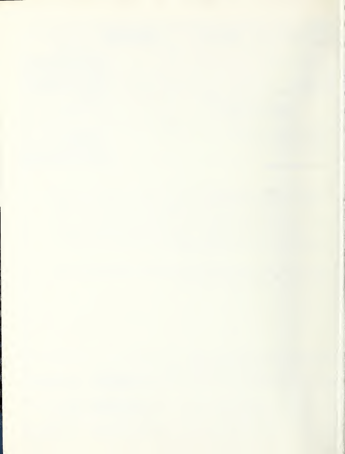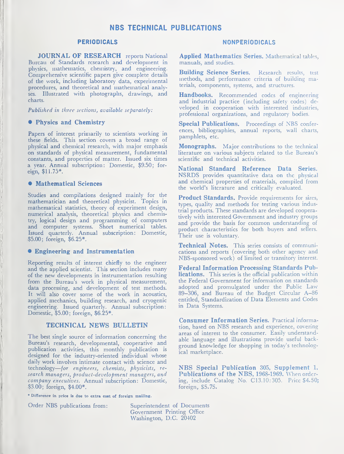### NBS TECHNICAL PUBLICATIONS

#### PERIODICALS

JOURNAL OF RESEARCH reports National Bureau of Standards research and development in physics, mathematics, chemistry, and engineering. Comprehensive scientific papers give complete details of the work, including laboratory data, experimental procedures, and theoretical and mathematical analyses. Illustrated with photographs, drawings, and charts.

Published in three sections, available separately:

#### • Physics and Chemistry

Papers of interest primarily to scientists working in these fields. This section covers a broad range of physical and chemical research, with major emphasis on standards of physical measurement, fundamental constants, and properties of matter. Issued six times a year. Annual subscription: Domestic, \$9.50; for eign, \$11.75\*.

#### • Mathematical Sciences

Studies and compilations designed mainly for the mathematician and theoretical physicist. Topics in mathematical statistics, theory of experiment design, numerical analysis, theoretical physics and chemistry, logical design and programming of computers and computer systems. Short numerical tables. Issued quarterly. Annual subscription: Domestic, \$5.00; foreign, \$6.25\*.

#### • Engineering and Instrumentation

Reporting results of interest chiefly to the engineer and the applied scientist. This section includes many of the new developments in instrumentation resulting from the Bureau's work in physical measurement, data processing, and development of test methods. It will also cover some of the work in acoustics, applied mechanics, building research, and cryogenic engineering. Issued quarterly. Annual subscription: Domestic, \$5.00; foreign, \$6.25\*.

#### TECHNICAL NEWS BULLETIN

The best single source of information concerning the Bureau's research, developmental, cooperative and publication activities, this monthly publication is designed for the industry-oriented individual whose daily work involves intimate contact with science and technology jor engineers, chemists, physicists, re search managers, product-development managers, and company executives. Annual subscription: Domestic, \$3.00; foreign, \$4.00\*.

\* Difference in price is due to extra cost of foreign mailing.

Order NBS publications from:

Superintendent of Documents Government Printing Office Washington, D.C. 20402

#### NONPERlODICALS

Applied Mathematics Series. Mathematical tables, manuals, and studies.

Building Science Series. Research results, test methods, and performance criteria of building materials, components, systems, and structures.

Handbooks. Recommended codes of engineering and industrial practice (including safety codes) de veloped in cooperation with interested industries, professional organizations, and regulatory bodies.

Special Publications. Proceedings of NBS conferences, bibliographies, annual reports, wall charts, pamphlets, etc.

Monographs. Major contributions to the technical literature on various subjects related to the Bureau's scientific and technical activities.

National Standard Reference Data Series. NSRDS provides quantitative data on the physical and chemical properties of materials, compiled from the world's literature and critically evaluated.

Product Standards. Provide requirements for sizes, types, quality and methods for testing various industrial products. These standards are developed cooperatively with interested Government and industry groups and provide the basis for common understanding of product characteristics for both buyers and sellers. Their use is voluntary.

Technical Notes. This series consists of communications and reports (covering both other agency and NBS-sponsored work) of limited or transitory interest.

Federal Information Processing Standards Publications. This series is the official publication within the Federal Government for information on standards adopted and promulgated under the Public Law 89-306, and Bureau of the Budget Circular A-86 entitled. Standardization of Data Elements and Codes in Data Systems.

Consumer Information Series. Practical information, based on NBS research and experience, covering areas of interest to the consumer. Easily understandable language and illustrations provide useful background knowledge for shopping in today's technological marketplace.

NBS Special Publication 305, Supplement 1, Publications of the NBS, 1968-1969. When ordering, include Catalog No. C13.10:305. Price \$4.50; foreign, \$5.75.